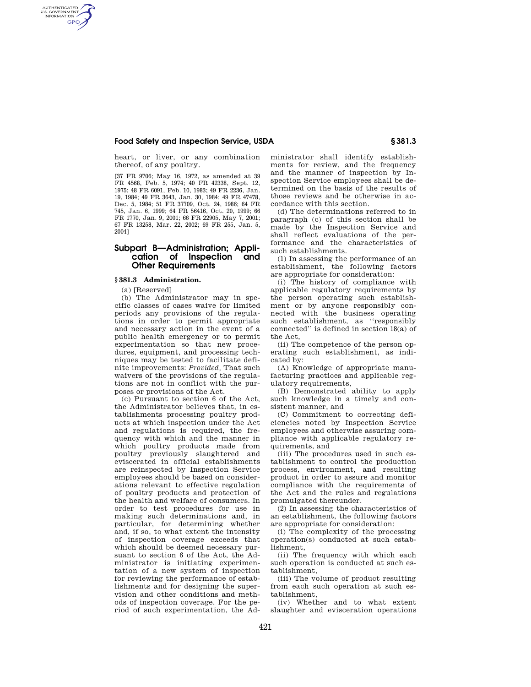# **Food Safety and Inspection Service, USDA § 381.3**

heart, or liver, or any combination thereof, of any poultry.

[37 FR 9706; May 16, 1972, as amended at 39 FR 4568, Feb. 5, 1974; 40 FR 42338, Sept. 12, 1975; 48 FR 6091, Feb. 10, 1983; 49 FR 2236, Jan. 19, 1984; 49 FR 3643, Jan. 30, 1984; 49 FR 47478, Dec. 5, 1984; 51 FR 37709, Oct. 24, 1986; 64 FR 745, Jan. 6, 1999; 64 FR 56416, Oct. 20, 1999; 66 FR 1770, Jan. 9, 2001; 66 FR 22905, May 7, 2001; 67 FR 13258, Mar. 22, 2002; 69 FR 255, Jan. 5, 2004]

# **Subpart B—Administration; Application of Inspection and Other Requirements**

## **§ 381.3 Administration.**

(a) [Reserved]

AUTHENTICATED<br>U.S. GOVERNMENT<br>INFORMATION **GPO** 

> (b) The Administrator may in specific classes of cases waive for limited periods any provisions of the regulations in order to permit appropriate and necessary action in the event of a public health emergency or to permit experimentation so that new procedures, equipment, and processing techniques may be tested to facilitate definite improvements: *Provided,* That such waivers of the provisions of the regulations are not in conflict with the purposes or provisions of the Act.

> (c) Pursuant to section 6 of the Act, the Administrator believes that, in establishments processing poultry products at which inspection under the Act and regulations is required, the frequency with which and the manner in which poultry products made from poultry previously slaughtered and eviscerated in official establishments are reinspected by Inspection Service employees should be based on considerations relevant to effective regulation of poultry products and protection of the health and welfare of consumers. In order to test procedures for use in making such determinations and, in particular, for determining whether and, if so, to what extent the intensity of inspection coverage exceeds that which should be deemed necessary pursuant to section 6 of the Act, the Administrator is initiating experimentation of a new system of inspection for reviewing the performance of establishments and for designing the supervision and other conditions and methods of inspection coverage. For the period of such experimentation, the Ad

ministrator shall identify establishments for review, and the frequency and the manner of inspection by Inspection Service employees shall be determined on the basis of the results of those reviews and be otherwise in accordance with this section.

(d) The determinations referred to in paragraph (c) of this section shall be made by the Inspection Service and shall reflect evaluations of the performance and the characteristics of such establishments.

(1) In assessing the performance of an establishment, the following factors are appropriate for consideration:

(i) The history of compliance with applicable regulatory requirements by the person operating such establishment or by anyone responsibly connected with the business operating such establishment, as ''responsibly connected'' is defined in section 18(a) of the Act,

(ii) The competence of the person operating such establishment, as indicated by:

(A) Knowledge of appropriate manufacturing practices and applicable regulatory requirements,

(B) Demonstrated ability to apply such knowledge in a timely and consistent manner, and

(C) Commitment to correcting deficiencies noted by Inspection Service employees and otherwise assuring compliance with applicable regulatory requirements, and

(iii) The procedures used in such establishment to control the production process, environment, and resulting product in order to assure and monitor compliance with the requirements of the Act and the rules and regulations promulgated thereunder.

(2) In assessing the characteristics of an establishment, the following factors are appropriate for consideration:

(i) The complexity of the processing operation(s) conducted at such establishment,

(ii) The frequency with which each such operation is conducted at such establishment,

(iii) The volume of product resulting from each such operation at such establishment,

(iv) Whether and to what extent slaughter and evisceration operations